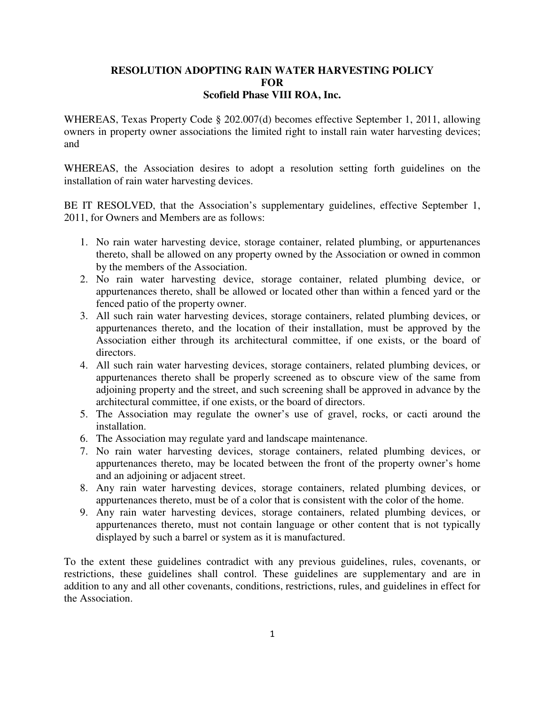## **RESOLUTION ADOPTING RAIN WATER HARVESTING POLICY FOR Scofield Phase VIII ROA, Inc.**

WHEREAS, Texas Property Code § 202.007(d) becomes effective September 1, 2011, allowing owners in property owner associations the limited right to install rain water harvesting devices; and

WHEREAS, the Association desires to adopt a resolution setting forth guidelines on the installation of rain water harvesting devices.

BE IT RESOLVED, that the Association's supplementary guidelines, effective September 1, 2011, for Owners and Members are as follows:

- 1. No rain water harvesting device, storage container, related plumbing, or appurtenances thereto, shall be allowed on any property owned by the Association or owned in common by the members of the Association.
- 2. No rain water harvesting device, storage container, related plumbing device, or appurtenances thereto, shall be allowed or located other than within a fenced yard or the fenced patio of the property owner.
- 3. All such rain water harvesting devices, storage containers, related plumbing devices, or appurtenances thereto, and the location of their installation, must be approved by the Association either through its architectural committee, if one exists, or the board of directors.
- 4. All such rain water harvesting devices, storage containers, related plumbing devices, or appurtenances thereto shall be properly screened as to obscure view of the same from adjoining property and the street, and such screening shall be approved in advance by the architectural committee, if one exists, or the board of directors.
- 5. The Association may regulate the owner's use of gravel, rocks, or cacti around the installation.
- 6. The Association may regulate yard and landscape maintenance.
- 7. No rain water harvesting devices, storage containers, related plumbing devices, or appurtenances thereto, may be located between the front of the property owner's home and an adjoining or adjacent street.
- 8. Any rain water harvesting devices, storage containers, related plumbing devices, or appurtenances thereto, must be of a color that is consistent with the color of the home.
- 9. Any rain water harvesting devices, storage containers, related plumbing devices, or appurtenances thereto, must not contain language or other content that is not typically displayed by such a barrel or system as it is manufactured.

To the extent these guidelines contradict with any previous guidelines, rules, covenants, or restrictions, these guidelines shall control. These guidelines are supplementary and are in addition to any and all other covenants, conditions, restrictions, rules, and guidelines in effect for the Association.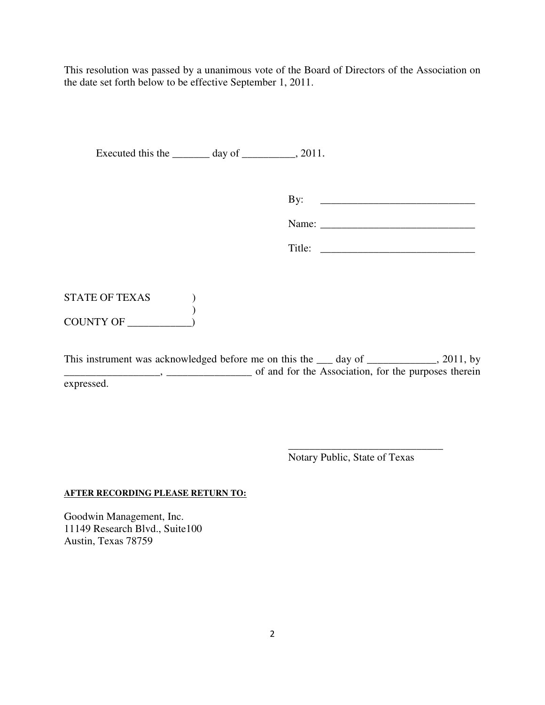This resolution was passed by a unanimous vote of the Board of Directors of the Association on the date set forth below to be effective September 1, 2011.

Executed this the \_\_\_\_\_\_\_\_ day of \_\_\_\_\_\_\_\_, 2011.

By: \_\_\_\_\_\_\_\_\_\_\_\_\_\_\_\_\_\_\_\_\_\_\_\_\_\_\_\_\_

Name: \_\_\_\_\_\_\_\_\_\_\_\_\_\_\_\_\_\_\_\_\_\_\_\_\_\_\_\_\_

Title:

STATE OF TEXAS (1) ) COUNTY OF \_\_\_\_\_\_\_\_\_\_\_\_)

This instrument was acknowledged before me on this the <u>s</u> day of selection of 2011, by \_\_\_\_\_\_\_\_\_\_\_\_\_\_\_\_\_\_, \_\_\_\_\_\_\_\_\_\_\_\_\_\_\_\_ of and for the Association, for the purposes therein expressed.

Notary Public, State of Texas

\_\_\_\_\_\_\_\_\_\_\_\_\_\_\_\_\_\_\_\_\_\_\_\_\_\_\_\_\_

### **AFTER RECORDING PLEASE RETURN TO:**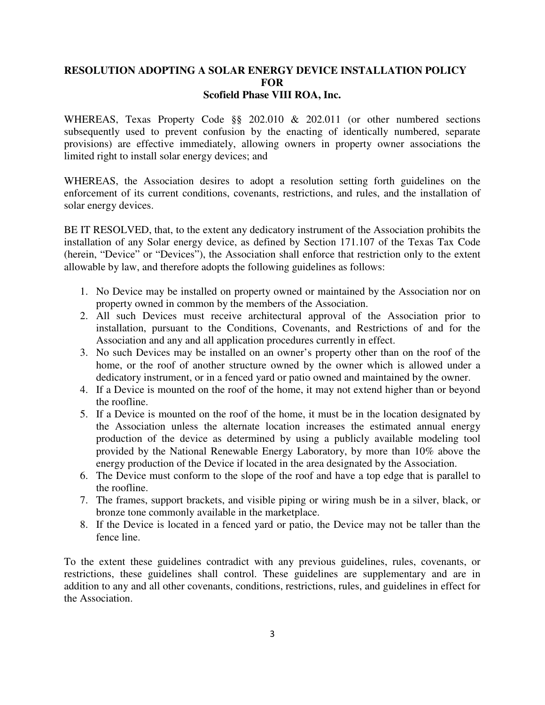## **RESOLUTION ADOPTING A SOLAR ENERGY DEVICE INSTALLATION POLICY FOR Scofield Phase VIII ROA, Inc.**

WHEREAS, Texas Property Code §§ 202.010 & 202.011 (or other numbered sections subsequently used to prevent confusion by the enacting of identically numbered, separate provisions) are effective immediately, allowing owners in property owner associations the limited right to install solar energy devices; and

WHEREAS, the Association desires to adopt a resolution setting forth guidelines on the enforcement of its current conditions, covenants, restrictions, and rules, and the installation of solar energy devices.

BE IT RESOLVED, that, to the extent any dedicatory instrument of the Association prohibits the installation of any Solar energy device, as defined by Section 171.107 of the Texas Tax Code (herein, "Device" or "Devices"), the Association shall enforce that restriction only to the extent allowable by law, and therefore adopts the following guidelines as follows:

- 1. No Device may be installed on property owned or maintained by the Association nor on property owned in common by the members of the Association.
- 2. All such Devices must receive architectural approval of the Association prior to installation, pursuant to the Conditions, Covenants, and Restrictions of and for the Association and any and all application procedures currently in effect.
- 3. No such Devices may be installed on an owner's property other than on the roof of the home, or the roof of another structure owned by the owner which is allowed under a dedicatory instrument, or in a fenced yard or patio owned and maintained by the owner.
- 4. If a Device is mounted on the roof of the home, it may not extend higher than or beyond the roofline.
- 5. If a Device is mounted on the roof of the home, it must be in the location designated by the Association unless the alternate location increases the estimated annual energy production of the device as determined by using a publicly available modeling tool provided by the National Renewable Energy Laboratory, by more than 10% above the energy production of the Device if located in the area designated by the Association.
- 6. The Device must conform to the slope of the roof and have a top edge that is parallel to the roofline.
- 7. The frames, support brackets, and visible piping or wiring mush be in a silver, black, or bronze tone commonly available in the marketplace.
- 8. If the Device is located in a fenced yard or patio, the Device may not be taller than the fence line.

To the extent these guidelines contradict with any previous guidelines, rules, covenants, or restrictions, these guidelines shall control. These guidelines are supplementary and are in addition to any and all other covenants, conditions, restrictions, rules, and guidelines in effect for the Association.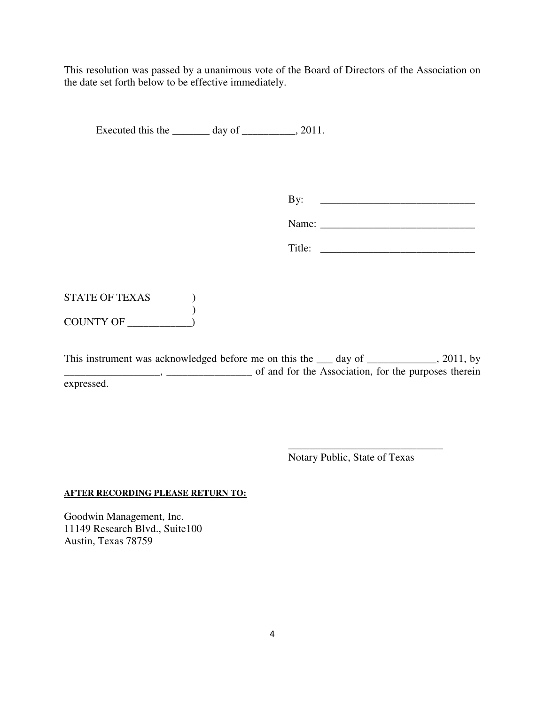This resolution was passed by a unanimous vote of the Board of Directors of the Association on the date set forth below to be effective immediately.

Executed this the \_\_\_\_\_\_\_\_ day of \_\_\_\_\_\_\_\_, 2011.

By: \_\_\_\_\_\_\_\_\_\_\_\_\_\_\_\_\_\_\_\_\_\_\_\_\_\_\_\_\_

Name: \_\_\_\_\_\_\_\_\_\_\_\_\_\_\_\_\_\_\_\_\_\_\_\_\_\_\_\_\_

Title:

STATE OF TEXAS (1) ) COUNTY OF

This instrument was acknowledged before me on this the <u>s</u> day of selection of 2011, by \_\_\_\_\_\_\_\_\_\_\_\_\_\_\_\_\_\_, \_\_\_\_\_\_\_\_\_\_\_\_\_\_\_\_ of and for the Association, for the purposes therein expressed.

Notary Public, State of Texas

\_\_\_\_\_\_\_\_\_\_\_\_\_\_\_\_\_\_\_\_\_\_\_\_\_\_\_\_\_

### **AFTER RECORDING PLEASE RETURN TO:**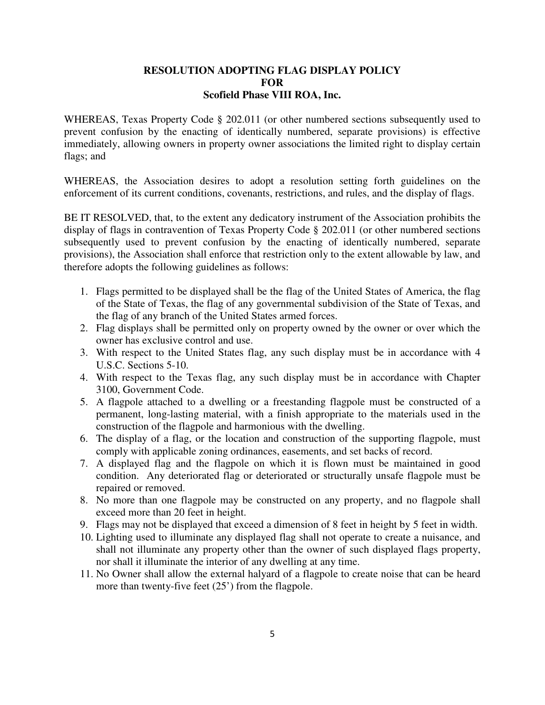## **RESOLUTION ADOPTING FLAG DISPLAY POLICY FOR Scofield Phase VIII ROA, Inc.**

WHEREAS, Texas Property Code § 202.011 (or other numbered sections subsequently used to prevent confusion by the enacting of identically numbered, separate provisions) is effective immediately, allowing owners in property owner associations the limited right to display certain flags; and

WHEREAS, the Association desires to adopt a resolution setting forth guidelines on the enforcement of its current conditions, covenants, restrictions, and rules, and the display of flags.

BE IT RESOLVED, that, to the extent any dedicatory instrument of the Association prohibits the display of flags in contravention of Texas Property Code § 202.011 (or other numbered sections subsequently used to prevent confusion by the enacting of identically numbered, separate provisions), the Association shall enforce that restriction only to the extent allowable by law, and therefore adopts the following guidelines as follows:

- 1. Flags permitted to be displayed shall be the flag of the United States of America, the flag of the State of Texas, the flag of any governmental subdivision of the State of Texas, and the flag of any branch of the United States armed forces.
- 2. Flag displays shall be permitted only on property owned by the owner or over which the owner has exclusive control and use.
- 3. With respect to the United States flag, any such display must be in accordance with 4 U.S.C. Sections 5-10.
- 4. With respect to the Texas flag, any such display must be in accordance with Chapter 3100, Government Code.
- 5. A flagpole attached to a dwelling or a freestanding flagpole must be constructed of a permanent, long-lasting material, with a finish appropriate to the materials used in the construction of the flagpole and harmonious with the dwelling.
- 6. The display of a flag, or the location and construction of the supporting flagpole, must comply with applicable zoning ordinances, easements, and set backs of record.
- 7. A displayed flag and the flagpole on which it is flown must be maintained in good condition. Any deteriorated flag or deteriorated or structurally unsafe flagpole must be repaired or removed.
- 8. No more than one flagpole may be constructed on any property, and no flagpole shall exceed more than 20 feet in height.
- 9. Flags may not be displayed that exceed a dimension of 8 feet in height by 5 feet in width.
- 10. Lighting used to illuminate any displayed flag shall not operate to create a nuisance, and shall not illuminate any property other than the owner of such displayed flags property, nor shall it illuminate the interior of any dwelling at any time.
- 11. No Owner shall allow the external halyard of a flagpole to create noise that can be heard more than twenty-five feet (25') from the flagpole.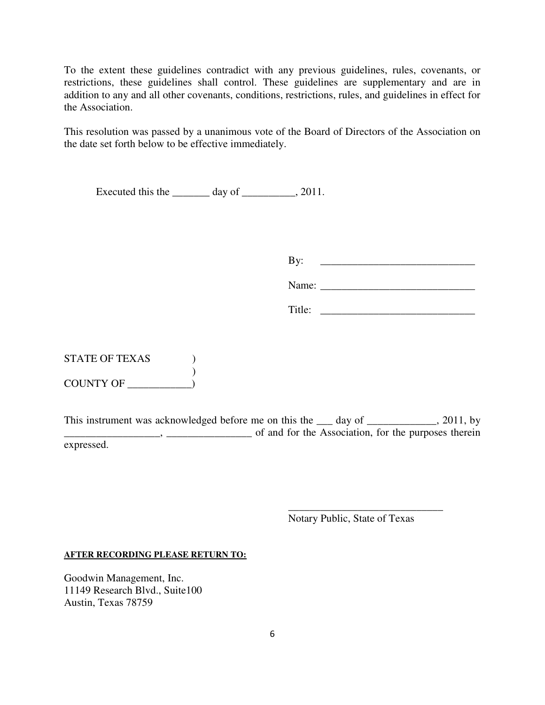To the extent these guidelines contradict with any previous guidelines, rules, covenants, or restrictions, these guidelines shall control. These guidelines are supplementary and are in addition to any and all other covenants, conditions, restrictions, rules, and guidelines in effect for the Association.

This resolution was passed by a unanimous vote of the Board of Directors of the Association on the date set forth below to be effective immediately.

Executed this the \_\_\_\_\_\_\_\_ day of \_\_\_\_\_\_\_\_, 2011.

By:  $\Box$ 

| Name: |
|-------|
|-------|

| Title: |  |  |
|--------|--|--|
|        |  |  |

STATE OF TEXAS ) ) COUNTY OF \_\_\_\_\_\_\_\_\_\_\_\_)

This instrument was acknowledged before me on this the <u>s</u> day of selection of 2011, by  $\frac{1}{1}$ ,  $\frac{1}{1}$ ,  $\frac{1}{1}$ ,  $\frac{1}{1}$ ,  $\frac{1}{1}$  of and for the Association, for the purposes therein expressed.

Notary Public, State of Texas

\_\_\_\_\_\_\_\_\_\_\_\_\_\_\_\_\_\_\_\_\_\_\_\_\_\_\_\_\_

**AFTER RECORDING PLEASE RETURN TO:**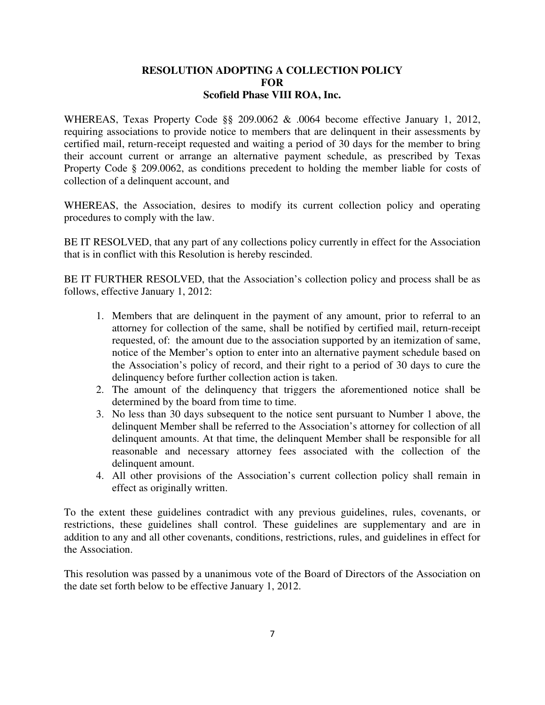# **RESOLUTION ADOPTING A COLLECTION POLICY FOR Scofield Phase VIII ROA, Inc.**

WHEREAS, Texas Property Code §§ 209.0062 & .0064 become effective January 1, 2012, requiring associations to provide notice to members that are delinquent in their assessments by certified mail, return-receipt requested and waiting a period of 30 days for the member to bring their account current or arrange an alternative payment schedule, as prescribed by Texas Property Code § 209.0062, as conditions precedent to holding the member liable for costs of collection of a delinquent account, and

WHEREAS, the Association, desires to modify its current collection policy and operating procedures to comply with the law.

BE IT RESOLVED, that any part of any collections policy currently in effect for the Association that is in conflict with this Resolution is hereby rescinded.

BE IT FURTHER RESOLVED, that the Association's collection policy and process shall be as follows, effective January 1, 2012:

- 1. Members that are delinquent in the payment of any amount, prior to referral to an attorney for collection of the same, shall be notified by certified mail, return-receipt requested, of: the amount due to the association supported by an itemization of same, notice of the Member's option to enter into an alternative payment schedule based on the Association's policy of record, and their right to a period of 30 days to cure the delinquency before further collection action is taken.
- 2. The amount of the delinquency that triggers the aforementioned notice shall be determined by the board from time to time.
- 3. No less than 30 days subsequent to the notice sent pursuant to Number 1 above, the delinquent Member shall be referred to the Association's attorney for collection of all delinquent amounts. At that time, the delinquent Member shall be responsible for all reasonable and necessary attorney fees associated with the collection of the delinquent amount.
- 4. All other provisions of the Association's current collection policy shall remain in effect as originally written.

To the extent these guidelines contradict with any previous guidelines, rules, covenants, or restrictions, these guidelines shall control. These guidelines are supplementary and are in addition to any and all other covenants, conditions, restrictions, rules, and guidelines in effect for the Association.

This resolution was passed by a unanimous vote of the Board of Directors of the Association on the date set forth below to be effective January 1, 2012.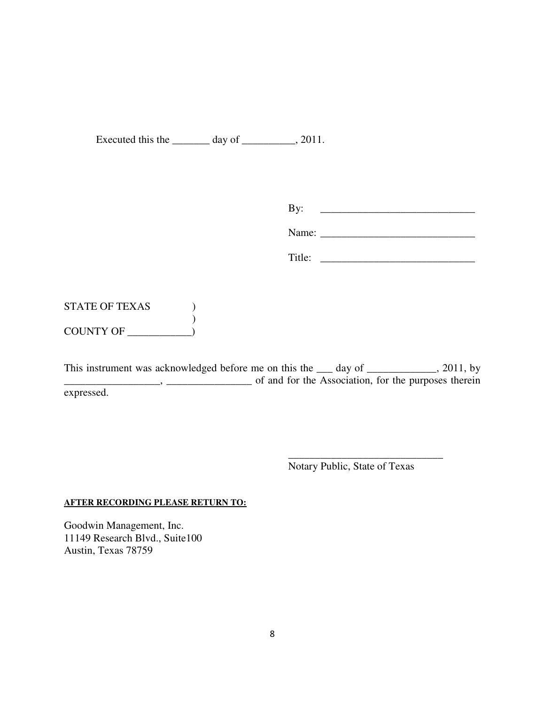Executed this the \_\_\_\_\_\_\_\_ day of \_\_\_\_\_\_\_\_, 2011.

By: \_\_\_\_\_\_\_\_\_\_\_\_\_\_\_\_\_\_\_\_\_\_\_\_\_\_\_\_\_

Name: \_\_\_\_\_\_\_\_\_\_\_\_\_\_\_\_\_\_\_\_\_\_\_\_\_\_\_\_\_

Title: \_\_\_\_\_\_\_\_\_\_\_\_\_\_\_\_\_\_\_\_\_\_\_\_\_\_\_\_\_

STATE OF TEXAS (1) ) COUNTY OF \_\_\_\_\_\_\_\_\_\_\_\_)

This instrument was acknowledged before me on this the day of \_\_\_\_\_\_\_\_\_\_\_, 2011, by  $\Box$ ,  $\Box$ ,  $\Box$ ,  $\Box$  of and for the Association, for the purposes therein expressed.

Notary Public, State of Texas

\_\_\_\_\_\_\_\_\_\_\_\_\_\_\_\_\_\_\_\_\_\_\_\_\_\_\_\_\_

### **AFTER RECORDING PLEASE RETURN TO:**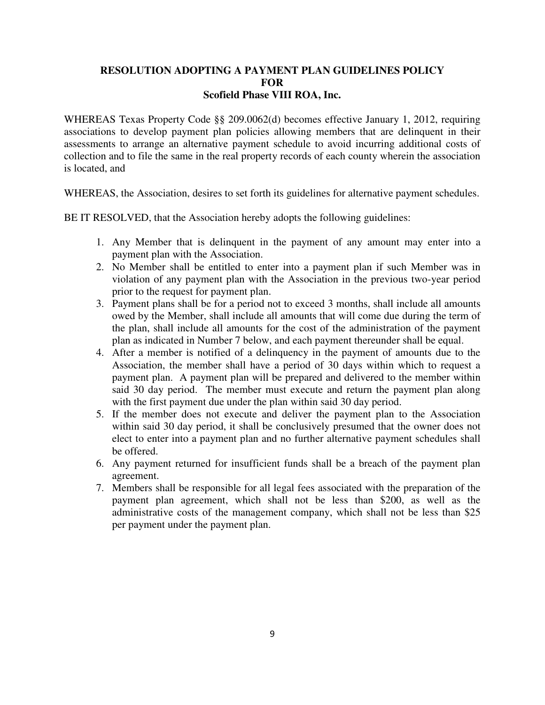# **RESOLUTION ADOPTING A PAYMENT PLAN GUIDELINES POLICY FOR Scofield Phase VIII ROA, Inc.**

WHEREAS Texas Property Code §§ 209.0062(d) becomes effective January 1, 2012, requiring associations to develop payment plan policies allowing members that are delinquent in their assessments to arrange an alternative payment schedule to avoid incurring additional costs of collection and to file the same in the real property records of each county wherein the association is located, and

WHEREAS, the Association, desires to set forth its guidelines for alternative payment schedules.

BE IT RESOLVED, that the Association hereby adopts the following guidelines:

- 1. Any Member that is delinquent in the payment of any amount may enter into a payment plan with the Association.
- 2. No Member shall be entitled to enter into a payment plan if such Member was in violation of any payment plan with the Association in the previous two-year period prior to the request for payment plan.
- 3. Payment plans shall be for a period not to exceed 3 months, shall include all amounts owed by the Member, shall include all amounts that will come due during the term of the plan, shall include all amounts for the cost of the administration of the payment plan as indicated in Number 7 below, and each payment thereunder shall be equal.
- 4. After a member is notified of a delinquency in the payment of amounts due to the Association, the member shall have a period of 30 days within which to request a payment plan. A payment plan will be prepared and delivered to the member within said 30 day period. The member must execute and return the payment plan along with the first payment due under the plan within said 30 day period.
- 5. If the member does not execute and deliver the payment plan to the Association within said 30 day period, it shall be conclusively presumed that the owner does not elect to enter into a payment plan and no further alternative payment schedules shall be offered.
- 6. Any payment returned for insufficient funds shall be a breach of the payment plan agreement.
- 7. Members shall be responsible for all legal fees associated with the preparation of the payment plan agreement, which shall not be less than \$200, as well as the administrative costs of the management company, which shall not be less than \$25 per payment under the payment plan.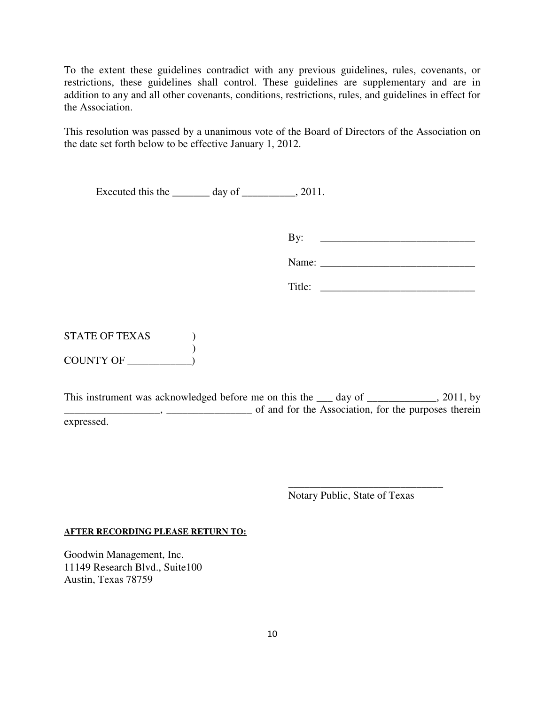To the extent these guidelines contradict with any previous guidelines, rules, covenants, or restrictions, these guidelines shall control. These guidelines are supplementary and are in addition to any and all other covenants, conditions, restrictions, rules, and guidelines in effect for the Association.

This resolution was passed by a unanimous vote of the Board of Directors of the Association on the date set forth below to be effective January 1, 2012.

Executed this the \_\_\_\_\_\_\_\_ day of \_\_\_\_\_\_\_\_, 2011.

By: \_\_\_\_\_\_\_\_\_\_\_\_\_\_\_\_\_\_\_\_\_\_\_\_\_\_\_\_\_

Name:

STATE OF TEXAS ) ) COUNTY OF

This instrument was acknowledged before me on this the day of \_\_\_\_\_\_\_\_\_\_\_, 2011, by  $\frac{1}{1}$ ,  $\frac{1}{1}$ ,  $\frac{1}{1}$ ,  $\frac{1}{1}$ ,  $\frac{1}{1}$  of and for the Association, for the purposes therein expressed.

> \_\_\_\_\_\_\_\_\_\_\_\_\_\_\_\_\_\_\_\_\_\_\_\_\_\_\_\_\_ Notary Public, State of Texas

**AFTER RECORDING PLEASE RETURN TO:**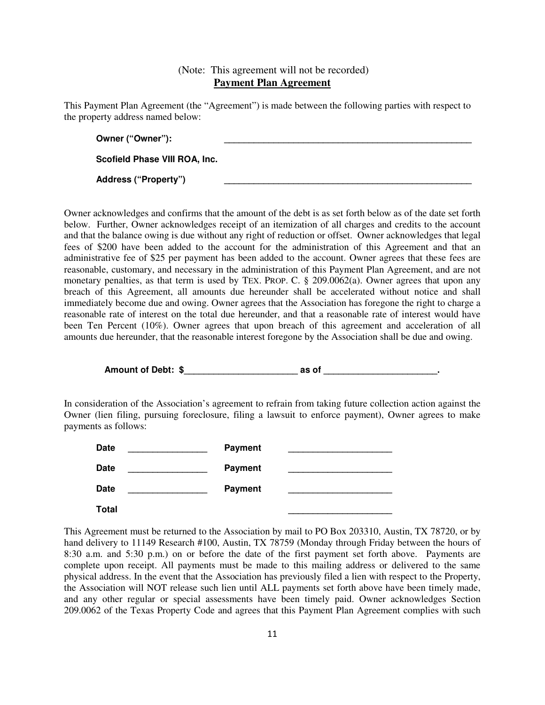# (Note: This agreement will not be recorded) **Payment Plan Agreement**

This Payment Plan Agreement (the "Agreement") is made between the following parties with respect to the property address named below:

| Owner ("Owner"):              |  |
|-------------------------------|--|
| Scofield Phase VIII ROA, Inc. |  |
| <b>Address ("Property")</b>   |  |

Owner acknowledges and confirms that the amount of the debt is as set forth below as of the date set forth below. Further, Owner acknowledges receipt of an itemization of all charges and credits to the account and that the balance owing is due without any right of reduction or offset. Owner acknowledges that legal fees of \$200 have been added to the account for the administration of this Agreement and that an administrative fee of \$25 per payment has been added to the account. Owner agrees that these fees are reasonable, customary, and necessary in the administration of this Payment Plan Agreement, and are not monetary penalties, as that term is used by TEX. PROP. C. § 209.0062(a). Owner agrees that upon any breach of this Agreement, all amounts due hereunder shall be accelerated without notice and shall immediately become due and owing. Owner agrees that the Association has foregone the right to charge a reasonable rate of interest on the total due hereunder, and that a reasonable rate of interest would have been Ten Percent (10%). Owner agrees that upon breach of this agreement and acceleration of all amounts due hereunder, that the reasonable interest foregone by the Association shall be due and owing.

**Amount of Debt: \$\_\_\_\_\_\_\_\_\_\_\_\_\_\_\_\_\_\_\_\_\_\_\_ as of \_\_\_\_\_\_\_\_\_\_\_\_\_\_\_\_\_\_\_\_\_\_\_.** 

In consideration of the Association's agreement to refrain from taking future collection action against the Owner (lien filing, pursuing foreclosure, filing a lawsuit to enforce payment), Owner agrees to make payments as follows:



This Agreement must be returned to the Association by mail to PO Box 203310, Austin, TX 78720, or by hand delivery to 11149 Research #100, Austin, TX 78759 (Monday through Friday between the hours of 8:30 a.m. and 5:30 p.m.) on or before the date of the first payment set forth above. Payments are complete upon receipt. All payments must be made to this mailing address or delivered to the same physical address. In the event that the Association has previously filed a lien with respect to the Property, the Association will NOT release such lien until ALL payments set forth above have been timely made, and any other regular or special assessments have been timely paid. Owner acknowledges Section 209.0062 of the Texas Property Code and agrees that this Payment Plan Agreement complies with such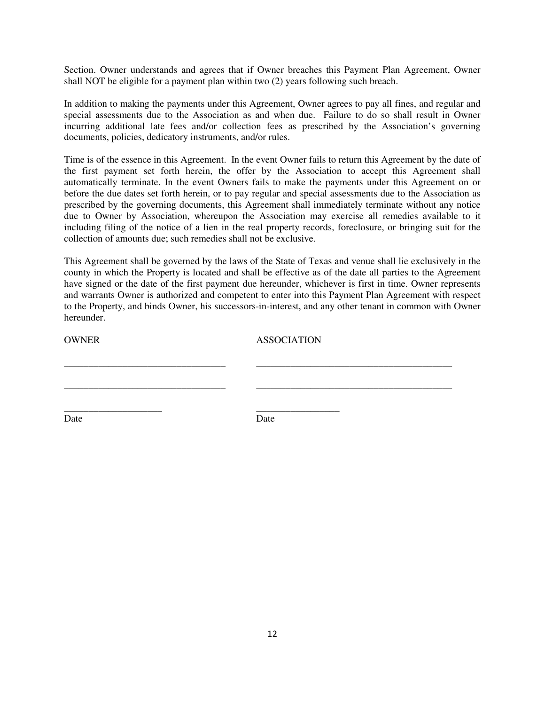Section. Owner understands and agrees that if Owner breaches this Payment Plan Agreement, Owner shall NOT be eligible for a payment plan within two (2) years following such breach.

In addition to making the payments under this Agreement, Owner agrees to pay all fines, and regular and special assessments due to the Association as and when due. Failure to do so shall result in Owner incurring additional late fees and/or collection fees as prescribed by the Association's governing documents, policies, dedicatory instruments, and/or rules.

Time is of the essence in this Agreement. In the event Owner fails to return this Agreement by the date of the first payment set forth herein, the offer by the Association to accept this Agreement shall automatically terminate. In the event Owners fails to make the payments under this Agreement on or before the due dates set forth herein, or to pay regular and special assessments due to the Association as prescribed by the governing documents, this Agreement shall immediately terminate without any notice due to Owner by Association, whereupon the Association may exercise all remedies available to it including filing of the notice of a lien in the real property records, foreclosure, or bringing suit for the collection of amounts due; such remedies shall not be exclusive.

This Agreement shall be governed by the laws of the State of Texas and venue shall lie exclusively in the county in which the Property is located and shall be effective as of the date all parties to the Agreement have signed or the date of the first payment due hereunder, whichever is first in time. Owner represents and warrants Owner is authorized and competent to enter into this Payment Plan Agreement with respect to the Property, and binds Owner, his successors-in-interest, and any other tenant in common with Owner hereunder.

| <b>OWNER</b> | <b>ASSOCIATION</b> |      |  |
|--------------|--------------------|------|--|
|              |                    |      |  |
|              |                    |      |  |
|              |                    |      |  |
| Date         |                    | Date |  |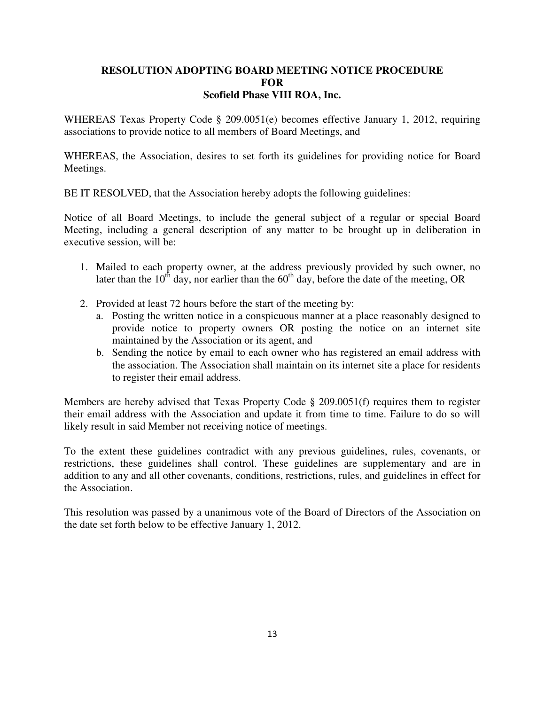# **RESOLUTION ADOPTING BOARD MEETING NOTICE PROCEDURE FOR Scofield Phase VIII ROA, Inc.**

WHEREAS Texas Property Code § 209.0051(e) becomes effective January 1, 2012, requiring associations to provide notice to all members of Board Meetings, and

WHEREAS, the Association, desires to set forth its guidelines for providing notice for Board Meetings.

BE IT RESOLVED, that the Association hereby adopts the following guidelines:

Notice of all Board Meetings, to include the general subject of a regular or special Board Meeting, including a general description of any matter to be brought up in deliberation in executive session, will be:

- 1. Mailed to each property owner, at the address previously provided by such owner, no later than the  $10^{th}$  day, nor earlier than the  $60^{th}$  day, before the date of the meeting, OR
- 2. Provided at least 72 hours before the start of the meeting by:
	- a. Posting the written notice in a conspicuous manner at a place reasonably designed to provide notice to property owners OR posting the notice on an internet site maintained by the Association or its agent, and
	- b. Sending the notice by email to each owner who has registered an email address with the association. The Association shall maintain on its internet site a place for residents to register their email address.

Members are hereby advised that Texas Property Code § 209.0051(f) requires them to register their email address with the Association and update it from time to time. Failure to do so will likely result in said Member not receiving notice of meetings.

To the extent these guidelines contradict with any previous guidelines, rules, covenants, or restrictions, these guidelines shall control. These guidelines are supplementary and are in addition to any and all other covenants, conditions, restrictions, rules, and guidelines in effect for the Association.

This resolution was passed by a unanimous vote of the Board of Directors of the Association on the date set forth below to be effective January 1, 2012.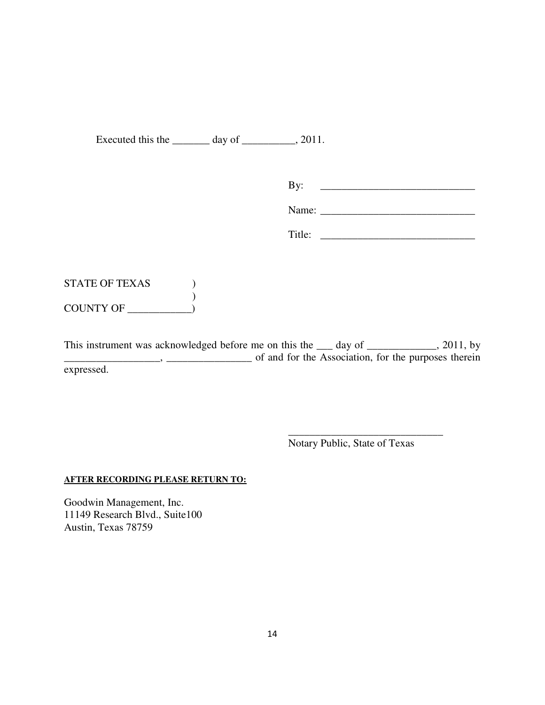Executed this the \_\_\_\_\_\_\_\_ day of \_\_\_\_\_\_\_\_, 2011.

| B٦ |  |
|----|--|
|    |  |

Name: \_\_\_\_\_\_\_\_\_\_\_\_\_\_\_\_\_\_\_\_\_\_\_\_\_\_\_\_\_

Title: \_\_\_\_\_\_\_\_\_\_\_\_\_\_\_\_\_\_\_\_\_\_\_\_\_\_\_\_\_

# STATE OF TEXAS  $\qquad$  ) ) COUNTY OF \_\_\_\_\_\_\_\_\_\_\_\_)

This instrument was acknowledged before me on this the <u>s</u> day of \_\_\_\_\_\_\_\_\_\_, 2011, by  $\Box$ , \_\_\_\_\_\_\_\_\_\_\_\_\_\_\_\_\_\_\_\_\_\_\_ of and for the Association, for the purposes therein expressed.

Notary Public, State of Texas

\_\_\_\_\_\_\_\_\_\_\_\_\_\_\_\_\_\_\_\_\_\_\_\_\_\_\_\_\_

# **AFTER RECORDING PLEASE RETURN TO:**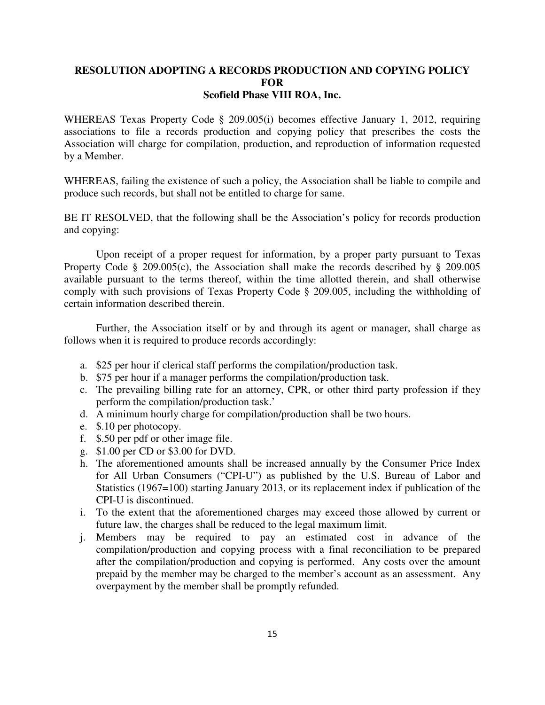## **RESOLUTION ADOPTING A RECORDS PRODUCTION AND COPYING POLICY FOR Scofield Phase VIII ROA, Inc.**

WHEREAS Texas Property Code § 209.005(i) becomes effective January 1, 2012, requiring associations to file a records production and copying policy that prescribes the costs the Association will charge for compilation, production, and reproduction of information requested by a Member.

WHEREAS, failing the existence of such a policy, the Association shall be liable to compile and produce such records, but shall not be entitled to charge for same.

BE IT RESOLVED, that the following shall be the Association's policy for records production and copying:

 Upon receipt of a proper request for information, by a proper party pursuant to Texas Property Code § 209.005(c), the Association shall make the records described by § 209.005 available pursuant to the terms thereof, within the time allotted therein, and shall otherwise comply with such provisions of Texas Property Code § 209.005, including the withholding of certain information described therein.

 Further, the Association itself or by and through its agent or manager, shall charge as follows when it is required to produce records accordingly:

- a. \$25 per hour if clerical staff performs the compilation/production task.
- b. \$75 per hour if a manager performs the compilation/production task.
- c. The prevailing billing rate for an attorney, CPR, or other third party profession if they perform the compilation/production task.'
- d. A minimum hourly charge for compilation/production shall be two hours.
- e. \$.10 per photocopy.
- f. \$.50 per pdf or other image file.
- g. \$1.00 per CD or \$3.00 for DVD.
- h. The aforementioned amounts shall be increased annually by the Consumer Price Index for All Urban Consumers ("CPI-U") as published by the U.S. Bureau of Labor and Statistics (1967=100) starting January 2013, or its replacement index if publication of the CPI-U is discontinued.
- i. To the extent that the aforementioned charges may exceed those allowed by current or future law, the charges shall be reduced to the legal maximum limit.
- j. Members may be required to pay an estimated cost in advance of the compilation/production and copying process with a final reconciliation to be prepared after the compilation/production and copying is performed. Any costs over the amount prepaid by the member may be charged to the member's account as an assessment. Any overpayment by the member shall be promptly refunded.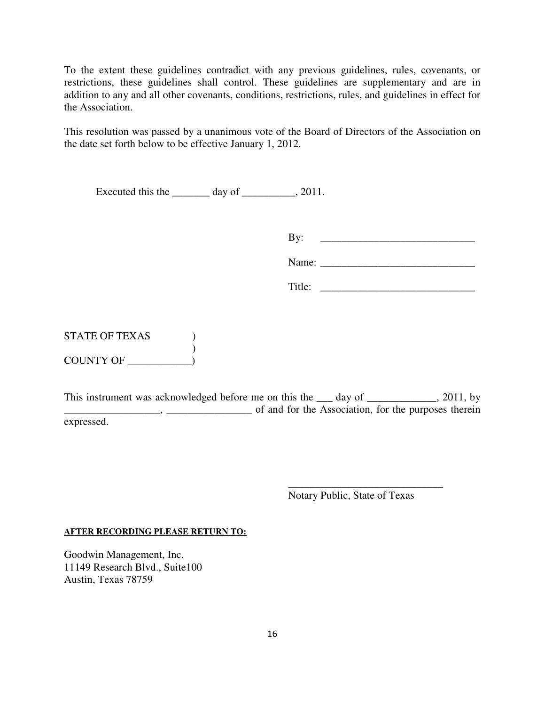To the extent these guidelines contradict with any previous guidelines, rules, covenants, or restrictions, these guidelines shall control. These guidelines are supplementary and are in addition to any and all other covenants, conditions, restrictions, rules, and guidelines in effect for the Association.

This resolution was passed by a unanimous vote of the Board of Directors of the Association on the date set forth below to be effective January 1, 2012.

Executed this the \_\_\_\_\_\_\_\_ day of \_\_\_\_\_\_\_\_, 2011.

By: \_\_\_\_\_\_\_\_\_\_\_\_\_\_\_\_\_\_\_\_\_\_\_\_\_\_\_\_\_

Name:

STATE OF TEXAS ) ) COUNTY OF

This instrument was acknowledged before me on this the day of \_\_\_\_\_\_\_\_\_\_\_, 2011, by  $\Box$ ,  $\Box$ expressed.

> \_\_\_\_\_\_\_\_\_\_\_\_\_\_\_\_\_\_\_\_\_\_\_\_\_\_\_\_\_ Notary Public, State of Texas

### **AFTER RECORDING PLEASE RETURN TO:**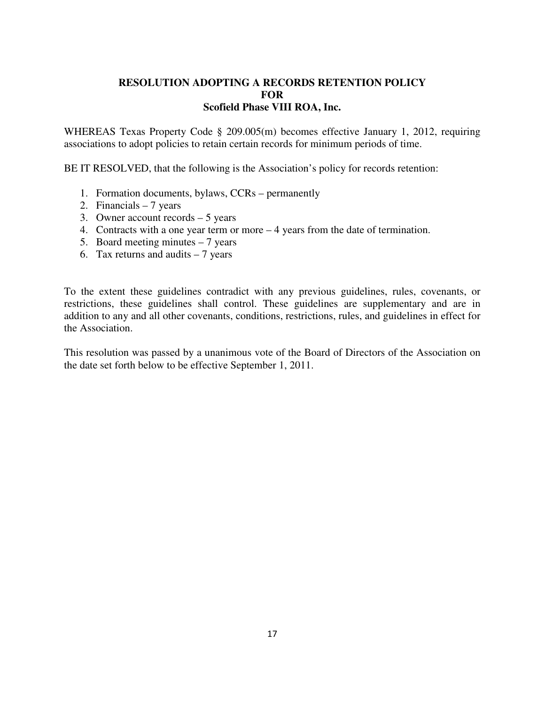# **RESOLUTION ADOPTING A RECORDS RETENTION POLICY FOR Scofield Phase VIII ROA, Inc.**

WHEREAS Texas Property Code § 209.005(m) becomes effective January 1, 2012, requiring associations to adopt policies to retain certain records for minimum periods of time.

BE IT RESOLVED, that the following is the Association's policy for records retention:

- 1. Formation documents, bylaws, CCRs permanently
- 2. Financials 7 years
- 3. Owner account records 5 years
- 4. Contracts with a one year term or more 4 years from the date of termination.
- 5. Board meeting minutes  $-7$  years
- 6. Tax returns and audits  $-7$  years

To the extent these guidelines contradict with any previous guidelines, rules, covenants, or restrictions, these guidelines shall control. These guidelines are supplementary and are in addition to any and all other covenants, conditions, restrictions, rules, and guidelines in effect for the Association.

This resolution was passed by a unanimous vote of the Board of Directors of the Association on the date set forth below to be effective September 1, 2011.